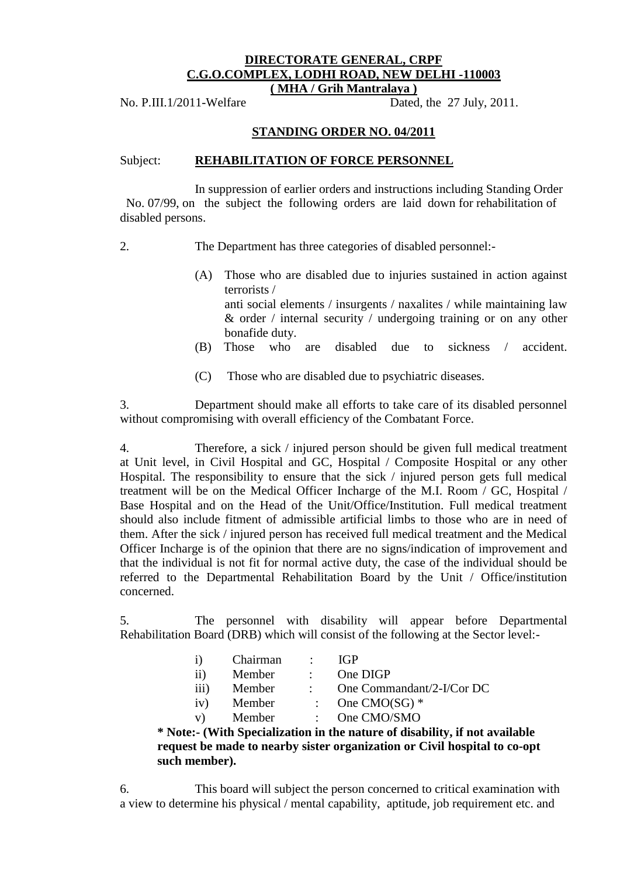## **DIRECTORATE GENERAL, CRPF C.G.O.COMPLEX, LODHI ROAD, NEW DELHI -110003 ( MHA / Grih Mantralaya )**

No. P.III.1/2011-Welfare Dated, the 27 July, 2011.

## **STANDING ORDER NO. 04/2011**

#### Subject: **REHABILITATION OF FORCE PERSONNEL**

 In suppression of earlier orders and instructions including Standing Order No. 07/99, on the subject the following orders are laid down for rehabilitation of disabled persons.

2. The Department has three categories of disabled personnel:-

- (A) Those who are disabled due to injuries sustained in action against terrorists / anti social elements / insurgents / naxalites / while maintaining law & order / internal security / undergoing training or on any other bonafide duty.
- (B) Those who are disabled due to sickness / accident.
- (C) Those who are disabled due to psychiatric diseases.

3. Department should make all efforts to take care of its disabled personnel without compromising with overall efficiency of the Combatant Force.

4. Therefore, a sick / injured person should be given full medical treatment at Unit level, in Civil Hospital and GC, Hospital / Composite Hospital or any other Hospital. The responsibility to ensure that the sick / injured person gets full medical treatment will be on the Medical Officer Incharge of the M.I. Room / GC, Hospital / Base Hospital and on the Head of the Unit/Office/Institution. Full medical treatment should also include fitment of admissible artificial limbs to those who are in need of them. After the sick / injured person has received full medical treatment and the Medical Officer Incharge is of the opinion that there are no signs/indication of improvement and that the individual is not fit for normal active duty, the case of the individual should be referred to the Departmental Rehabilitation Board by the Unit / Office/institution concerned.

5. The personnel with disability will appear before Departmental Rehabilitation Board (DRB) which will consist of the following at the Sector level:-

|          |               | Chairman | $\sim 10^{11}$ M $_\odot$ | IGP                                                                                                                                                                                                                                   |
|----------|---------------|----------|---------------------------|---------------------------------------------------------------------------------------------------------------------------------------------------------------------------------------------------------------------------------------|
|          | $\mathbf{ii}$ | Member   | $\mathcal{L}$             | One DIGP                                                                                                                                                                                                                              |
|          | iii)          | Member   |                           | One Commandant/2-I/Cor DC                                                                                                                                                                                                             |
|          | iv)           | Member   |                           | : One CMO(SG) $*$                                                                                                                                                                                                                     |
|          | $V$ )         | Member   |                           | $\therefore$ One CMO/SMO                                                                                                                                                                                                              |
| $\cdots$ |               |          |                           | $\blacksquare$ . The set of the set of the set of the set of the set of the set of the set of the set of the set of the set of the set of the set of the set of the set of the set of the set of the set of the set of the set of the |

**\* Note:- (With Specialization in the nature of disability, if not available request be made to nearby sister organization or Civil hospital to co-opt such member).**

6. This board will subject the person concerned to critical examination with a view to determine his physical / mental capability, aptitude, job requirement etc. and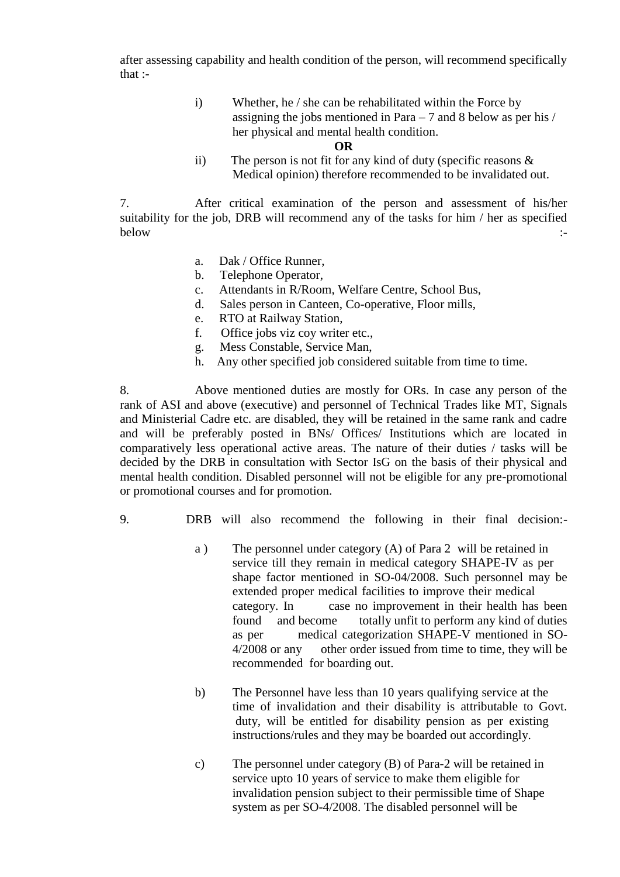after assessing capability and health condition of the person, will recommend specifically that :-

> i) Whether, he / she can be rehabilitated within the Force by assigning the jobs mentioned in Para – 7 and 8 below as per his / her physical and mental health condition.

#### **OR**

ii) The person is not fit for any kind of duty (specific reasons & Medical opinion) therefore recommended to be invalidated out.

7. After critical examination of the person and assessment of his/her suitability for the job, DRB will recommend any of the tasks for him / her as specified below  $\qquad \qquad \qquad :$ 

- a. Dak / Office Runner,
- b. Telephone Operator,
- c. Attendants in R/Room, Welfare Centre, School Bus,
- d. Sales person in Canteen, Co-operative, Floor mills,
- e. RTO at Railway Station,
- f. Office jobs viz coy writer etc.,
- g. Mess Constable, Service Man,
- h. Any other specified job considered suitable from time to time.

8. Above mentioned duties are mostly for ORs. In case any person of the rank of ASI and above (executive) and personnel of Technical Trades like MT, Signals and Ministerial Cadre etc. are disabled, they will be retained in the same rank and cadre and will be preferably posted in BNs/ Offices/ Institutions which are located in comparatively less operational active areas. The nature of their duties / tasks will be decided by the DRB in consultation with Sector IsG on the basis of their physical and mental health condition. Disabled personnel will not be eligible for any pre-promotional or promotional courses and for promotion.

- 9. DRB will also recommend the following in their final decision:
	- a ) The personnel under category (A) of Para 2 will be retained in service till they remain in medical category SHAPE-IV as per shape factor mentioned in SO-04/2008. Such personnel may be extended proper medical facilities to improve their medical category. In case no improvement in their health has been found and become totally unfit to perform any kind of duties as per medical categorization SHAPE-V mentioned in SO-4/2008 or any other order issued from time to time, they will be recommended for boarding out.
	- b) The Personnel have less than 10 years qualifying service at the time of invalidation and their disability is attributable to Govt. duty, will be entitled for disability pension as per existing instructions/rules and they may be boarded out accordingly.
	- c) The personnel under category (B) of Para-2 will be retained in service upto 10 years of service to make them eligible for invalidation pension subject to their permissible time of Shape system as per SO-4/2008. The disabled personnel will be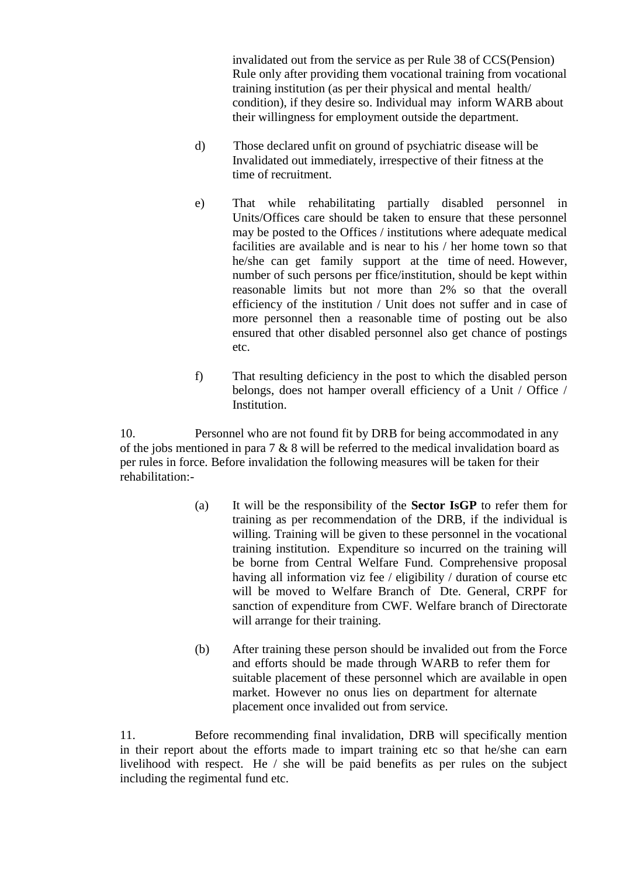invalidated out from the service as per Rule 38 of CCS(Pension) Rule only after providing them vocational training from vocational training institution (as per their physical and mental health/ condition), if they desire so. Individual may inform WARB about their willingness for employment outside the department.

- d) Those declared unfit on ground of psychiatric disease will be Invalidated out immediately, irrespective of their fitness at the time of recruitment.
- e) That while rehabilitating partially disabled personnel in Units/Offices care should be taken to ensure that these personnel may be posted to the Offices / institutions where adequate medical facilities are available and is near to his / her home town so that he/she can get family support at the time of need. However, number of such persons per ffice/institution, should be kept within reasonable limits but not more than 2% so that the overall efficiency of the institution / Unit does not suffer and in case of more personnel then a reasonable time of posting out be also ensured that other disabled personnel also get chance of postings etc.
- f) That resulting deficiency in the post to which the disabled person belongs, does not hamper overall efficiency of a Unit / Office / Institution.

10. Personnel who are not found fit by DRB for being accommodated in any of the jobs mentioned in para 7 & 8 will be referred to the medical invalidation board as per rules in force. Before invalidation the following measures will be taken for their rehabilitation:-

- (a) It will be the responsibility of the **Sector IsGP** to refer them for training as per recommendation of the DRB, if the individual is willing. Training will be given to these personnel in the vocational training institution. Expenditure so incurred on the training will be borne from Central Welfare Fund. Comprehensive proposal having all information viz fee / eligibility / duration of course etc will be moved to Welfare Branch of Dte. General, CRPF for sanction of expenditure from CWF. Welfare branch of Directorate will arrange for their training.
- (b) After training these person should be invalided out from the Force and efforts should be made through WARB to refer them for suitable placement of these personnel which are available in open market. However no onus lies on department for alternate placement once invalided out from service.

11. Before recommending final invalidation, DRB will specifically mention in their report about the efforts made to impart training etc so that he/she can earn livelihood with respect. He / she will be paid benefits as per rules on the subject including the regimental fund etc.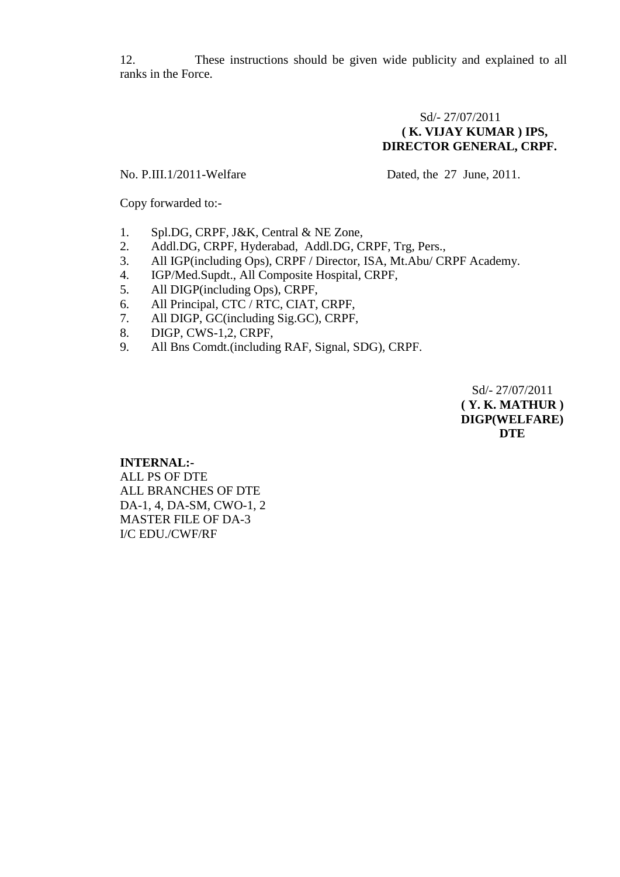12. These instructions should be given wide publicity and explained to all ranks in the Force.

## Sd/- 27/07/2011 **( K. VIJAY KUMAR ) IPS, DIRECTOR GENERAL, CRPF.**

No. P.III.1/2011-Welfare Dated, the 27 June, 2011.

Copy forwarded to:-

- 1. Spl.DG, CRPF, J&K, Central & NE Zone,
- 2. Addl.DG, CRPF, Hyderabad, Addl.DG, CRPF, Trg, Pers.,
- 3. All IGP(including Ops), CRPF / Director, ISA, Mt.Abu/ CRPF Academy.
- 4. IGP/Med.Supdt., All Composite Hospital, CRPF,
- 5. All DIGP(including Ops), CRPF,
- 6. All Principal, CTC / RTC, CIAT, CRPF,
- 7. All DIGP, GC(including Sig.GC), CRPF,
- 8. DIGP, CWS-1,2, CRPF,
- 9. All Bns Comdt.(including RAF, Signal, SDG), CRPF.

Sd/- 27/07/2011 **( Y. K. MATHUR ) DIGP(WELFARE) DTE**

## **INTERNAL:-** ALL PS OF DTE ALL BRANCHES OF DTE DA-1, 4, DA-SM, CWO-1, 2 MASTER FILE OF DA-3 I/C EDU./CWF/RF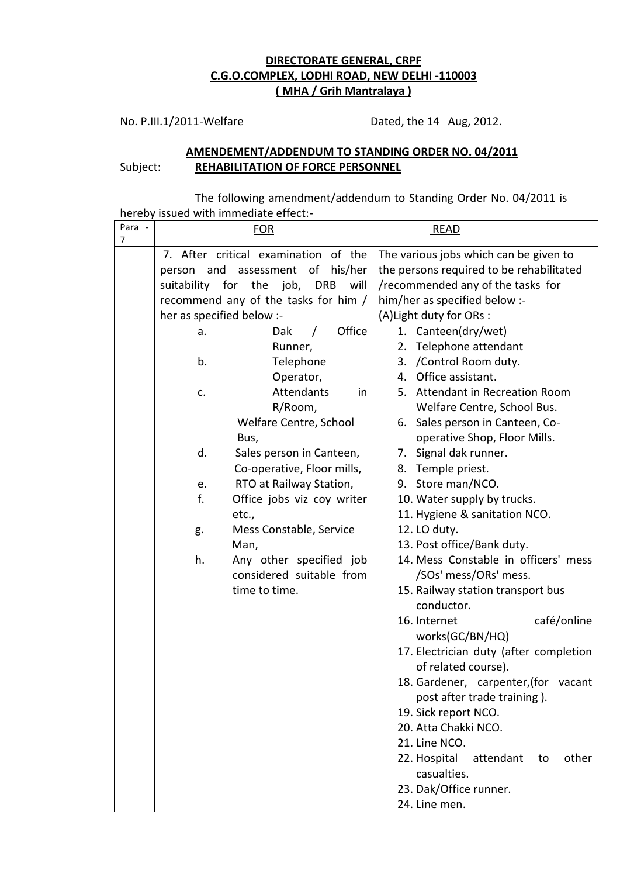# **DIRECTORATE GENERAL, CRPF C.G.O.COMPLEX, LODHI ROAD, NEW DELHI -110003 ( MHA / Grih Mantralaya )**

No. P.III.1/2011-Welfare Dated, the 14 Aug, 2012.

## **AMENDEMENT/ADDENDUM TO STANDING ORDER NO. 04/2011** Subject: **REHABILITATION OF FORCE PERSONNEL**

The following amendment/addendum to Standing Order No. 04/2011 is hereby issued with immediate effect:-

| Para - |                           | <b>BOULD MILLITTILLOIDLE CHICCLE</b><br><u>FOR</u> |                               | <b>READ</b>                              |  |
|--------|---------------------------|----------------------------------------------------|-------------------------------|------------------------------------------|--|
| 7      |                           | 7. After critical examination of the               |                               | The various jobs which can be given to   |  |
|        | and<br>person             | his/her<br>assessment of                           |                               | the persons required to be rehabilitated |  |
|        |                           | suitability for the job,<br><b>DRB</b><br>will     |                               | /recommended any of the tasks for        |  |
|        |                           | recommend any of the tasks for him /               | him/her as specified below :- |                                          |  |
|        | her as specified below :- |                                                    | (A) Light duty for ORs :      |                                          |  |
|        | a.                        | Office<br>Dak                                      |                               | 1. Canteen(dry/wet)                      |  |
|        |                           | Runner,                                            |                               | 2. Telephone attendant                   |  |
|        | b.                        | Telephone                                          |                               | 3. / Control Room duty.                  |  |
|        |                           | Operator,                                          |                               | 4. Office assistant.                     |  |
|        | c.                        | Attendants<br>in                                   |                               | 5. Attendant in Recreation Room          |  |
|        |                           | R/Room,                                            |                               | Welfare Centre, School Bus.              |  |
|        |                           | Welfare Centre, School                             |                               | 6. Sales person in Canteen, Co-          |  |
|        |                           | Bus,                                               |                               | operative Shop, Floor Mills.             |  |
|        | d.                        | Sales person in Canteen,                           |                               | 7. Signal dak runner.                    |  |
|        |                           | Co-operative, Floor mills,                         | 8.                            | Temple priest.                           |  |
|        | e.                        | RTO at Railway Station,                            |                               | 9. Store man/NCO.                        |  |
|        | f.                        | Office jobs viz coy writer                         |                               | 10. Water supply by trucks.              |  |
|        |                           | etc.,                                              |                               | 11. Hygiene & sanitation NCO.            |  |
|        | g.                        | Mess Constable, Service                            |                               | 12. LO duty.                             |  |
|        |                           | Man,                                               |                               | 13. Post office/Bank duty.               |  |
|        | h.                        | Any other specified job                            |                               | 14. Mess Constable in officers' mess     |  |
|        |                           | considered suitable from                           |                               | /SOs' mess/ORs' mess.                    |  |
|        |                           | time to time.                                      |                               | 15. Railway station transport bus        |  |
|        |                           |                                                    |                               | conductor.                               |  |
|        |                           |                                                    |                               | 16. Internet<br>café/online              |  |
|        |                           |                                                    |                               | works(GC/BN/HQ)                          |  |
|        |                           |                                                    |                               | 17. Electrician duty (after completion   |  |
|        |                           |                                                    |                               | of related course).                      |  |
|        |                           |                                                    |                               | 18. Gardener, carpenter, (for vacant     |  |
|        |                           |                                                    |                               | post after trade training).              |  |
|        |                           |                                                    |                               | 19. Sick report NCO.                     |  |
|        |                           |                                                    |                               | 20. Atta Chakki NCO.                     |  |
|        |                           |                                                    |                               | 21. Line NCO.                            |  |
|        |                           |                                                    |                               | 22. Hospital<br>attendant<br>other<br>to |  |
|        |                           |                                                    |                               | casualties.                              |  |
|        |                           |                                                    |                               | 23. Dak/Office runner.                   |  |
|        |                           |                                                    |                               | 24. Line men.                            |  |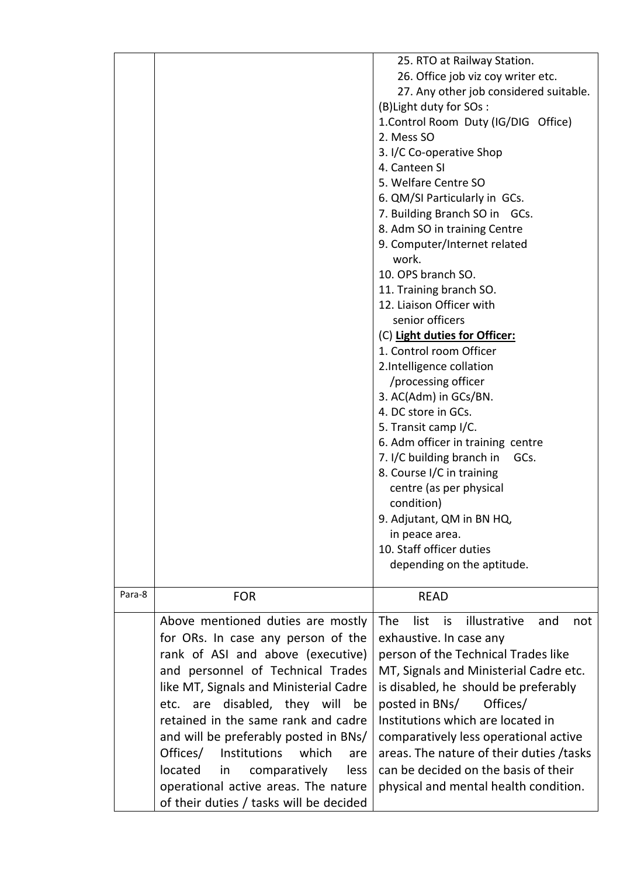|        |                                                                                   | 25. RTO at Railway Station.<br>26. Office job viz coy writer etc.<br>27. Any other job considered suitable.<br>(B) Light duty for SOs:<br>1. Control Room Duty (IG/DIG Office)<br>2. Mess SO<br>3. I/C Co-operative Shop<br>4. Canteen SI<br>5. Welfare Centre SO<br>6. QM/SI Particularly in GCs.<br>7. Building Branch SO in GCs.<br>8. Adm SO in training Centre<br>9. Computer/Internet related<br>work.<br>10. OPS branch SO.<br>11. Training branch SO.<br>12. Liaison Officer with<br>senior officers<br>(C) Light duties for Officer:<br>1. Control room Officer<br>2.Intelligence collation |
|--------|-----------------------------------------------------------------------------------|------------------------------------------------------------------------------------------------------------------------------------------------------------------------------------------------------------------------------------------------------------------------------------------------------------------------------------------------------------------------------------------------------------------------------------------------------------------------------------------------------------------------------------------------------------------------------------------------------|
|        |                                                                                   | 3. AC(Adm) in GCs/BN.<br>4. DC store in GCs.                                                                                                                                                                                                                                                                                                                                                                                                                                                                                                                                                         |
|        |                                                                                   | 5. Transit camp I/C.<br>6. Adm officer in training centre                                                                                                                                                                                                                                                                                                                                                                                                                                                                                                                                            |
|        |                                                                                   | 7. I/C building branch in<br>GCs.                                                                                                                                                                                                                                                                                                                                                                                                                                                                                                                                                                    |
|        |                                                                                   | 8. Course I/C in training                                                                                                                                                                                                                                                                                                                                                                                                                                                                                                                                                                            |
|        |                                                                                   | centre (as per physical                                                                                                                                                                                                                                                                                                                                                                                                                                                                                                                                                                              |
|        |                                                                                   | condition)                                                                                                                                                                                                                                                                                                                                                                                                                                                                                                                                                                                           |
|        |                                                                                   | 9. Adjutant, QM in BN HQ,                                                                                                                                                                                                                                                                                                                                                                                                                                                                                                                                                                            |
|        |                                                                                   | in peace area.<br>10. Staff officer duties                                                                                                                                                                                                                                                                                                                                                                                                                                                                                                                                                           |
|        |                                                                                   | depending on the aptitude.                                                                                                                                                                                                                                                                                                                                                                                                                                                                                                                                                                           |
|        |                                                                                   |                                                                                                                                                                                                                                                                                                                                                                                                                                                                                                                                                                                                      |
| Para-8 | <b>FOR</b>                                                                        | <b>READ</b>                                                                                                                                                                                                                                                                                                                                                                                                                                                                                                                                                                                          |
|        | Above mentioned duties are mostly                                                 | <b>The</b><br>list<br>illustrative<br>is<br>and<br>not                                                                                                                                                                                                                                                                                                                                                                                                                                                                                                                                               |
|        | for ORs. In case any person of the                                                | exhaustive. In case any                                                                                                                                                                                                                                                                                                                                                                                                                                                                                                                                                                              |
|        | rank of ASI and above (executive)                                                 | person of the Technical Trades like                                                                                                                                                                                                                                                                                                                                                                                                                                                                                                                                                                  |
|        | and personnel of Technical Trades                                                 | MT, Signals and Ministerial Cadre etc.                                                                                                                                                                                                                                                                                                                                                                                                                                                                                                                                                               |
|        | like MT, Signals and Ministerial Cadre                                            | is disabled, he should be preferably                                                                                                                                                                                                                                                                                                                                                                                                                                                                                                                                                                 |
|        | disabled, they will<br>etc. are<br>be                                             | posted in BNs/<br>Offices/<br>Institutions which are located in                                                                                                                                                                                                                                                                                                                                                                                                                                                                                                                                      |
|        | retained in the same rank and cadre                                               |                                                                                                                                                                                                                                                                                                                                                                                                                                                                                                                                                                                                      |
|        | and will be preferably posted in BNs/<br>Offices/<br>Institutions<br>which<br>are | comparatively less operational active<br>areas. The nature of their duties / tasks                                                                                                                                                                                                                                                                                                                                                                                                                                                                                                                   |
|        | located<br>comparatively<br>in<br><b>less</b>                                     | can be decided on the basis of their                                                                                                                                                                                                                                                                                                                                                                                                                                                                                                                                                                 |
|        | operational active areas. The nature                                              | physical and mental health condition.                                                                                                                                                                                                                                                                                                                                                                                                                                                                                                                                                                |
|        | of their duties / tasks will be decided                                           |                                                                                                                                                                                                                                                                                                                                                                                                                                                                                                                                                                                                      |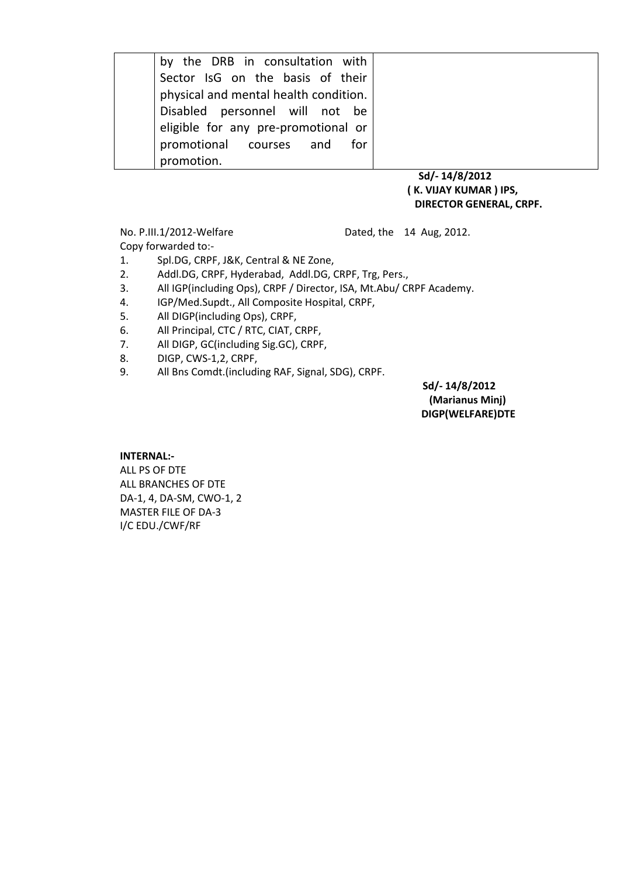| by the DRB in consultation with       |  |
|---------------------------------------|--|
| Sector IsG on the basis of their      |  |
| physical and mental health condition. |  |
| Disabled personnel will not be        |  |
| eligible for any pre-promotional or   |  |
| promotional courses and for           |  |
| promotion.                            |  |
|                                       |  |

#### **Sd/- 14/8/2012 ( K. VIJAY KUMAR ) IPS, DIRECTOR GENERAL, CRPF.**

No. P.III.1/2012-Welfare Dated, the 14 Aug, 2012.

Copy forwarded to:- 1. Spl.DG, CRPF, J&K, Central & NE Zone,

2. Addl.DG, CRPF, Hyderabad, Addl.DG, CRPF, Trg, Pers.,

3. All IGP(including Ops), CRPF / Director, ISA, Mt.Abu/ CRPF Academy.

- 4. IGP/Med.Supdt., All Composite Hospital, CRPF,
- 5. All DIGP(including Ops), CRPF,
- 6. All Principal, CTC / RTC, CIAT, CRPF,
- 7. All DIGP, GC(including Sig.GC), CRPF,
- 8. DIGP, CWS-1,2, CRPF,
- 9. All Bns Comdt.(including RAF, Signal, SDG), CRPF.

 **Sd/- 14/8/2012 (Marianus Minj) DIGP(WELFARE)DTE**

#### **INTERNAL:-**

ALL PS OF DTE ALL BRANCHES OF DTE DA-1, 4, DA-SM, CWO-1, 2 MASTER FILE OF DA-3 I/C EDU./CWF/RF